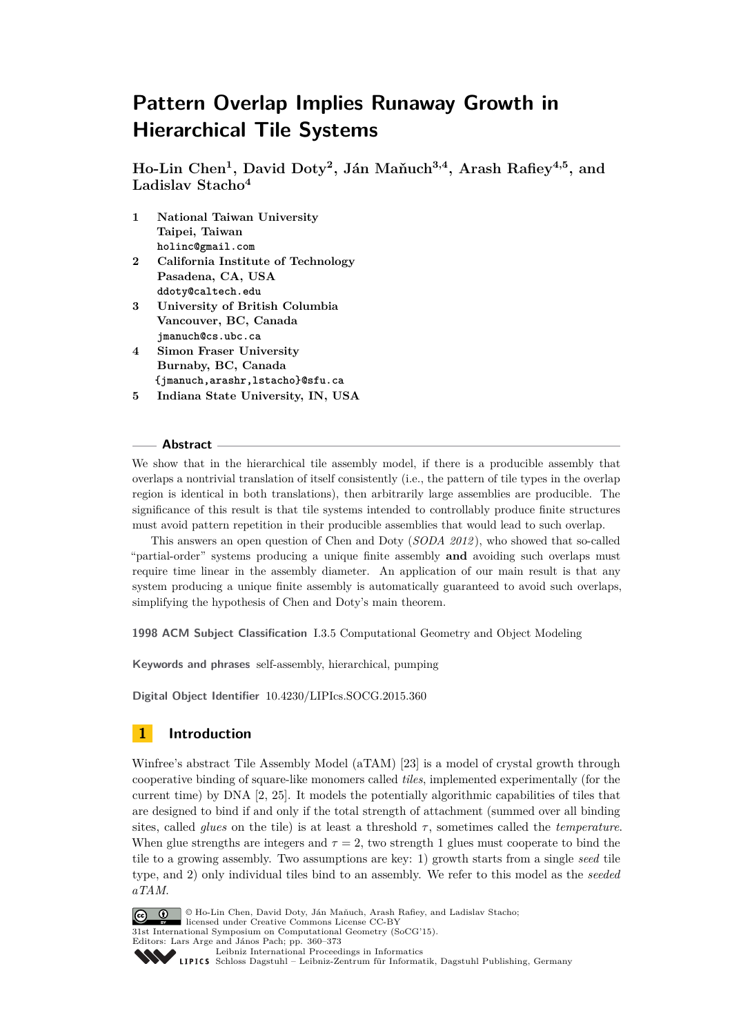# **Pattern Overlap Implies Runaway Growth in Hierarchical Tile Systems**

**Ho-Lin Chen<sup>1</sup> , David Doty<sup>2</sup> , Ján Maňuch3,4, Arash Rafiey4,5, and Ladislav Stacho<sup>4</sup>**

- **1 National Taiwan University Taipei, Taiwan holinc@gmail.com**
- **2 California Institute of Technology Pasadena, CA, USA ddoty@caltech.edu**
- **3 University of British Columbia Vancouver, BC, Canada jmanuch@cs.ubc.ca**
- **4 Simon Fraser University Burnaby, BC, Canada {jmanuch,arashr,lstacho}@sfu.ca**
- **5 Indiana State University, IN, USA**

#### **Abstract**

We show that in the hierarchical tile assembly model, if there is a producible assembly that overlaps a nontrivial translation of itself consistently (i.e., the pattern of tile types in the overlap region is identical in both translations), then arbitrarily large assemblies are producible. The significance of this result is that tile systems intended to controllably produce finite structures must avoid pattern repetition in their producible assemblies that would lead to such overlap.

This answers an open question of Chen and Doty (*SODA 2012* ), who showed that so-called "partial-order" systems producing a unique finite assembly **and** avoiding such overlaps must require time linear in the assembly diameter. An application of our main result is that any system producing a unique finite assembly is automatically guaranteed to avoid such overlaps, simplifying the hypothesis of Chen and Doty's main theorem.

**1998 ACM Subject Classification** I.3.5 Computational Geometry and Object Modeling

**Keywords and phrases** self-assembly, hierarchical, pumping

**Digital Object Identifier** [10.4230/LIPIcs.SOCG.2015.360](http://dx.doi.org/10.4230/LIPIcs.SOCG.2015.360)

## **1 Introduction**

Winfree's abstract Tile Assembly Model (aTAM) [\[23\]](#page-12-0) is a model of crystal growth through cooperative binding of square-like monomers called *tiles*, implemented experimentally (for the current time) by DNA [\[2,](#page-11-0) [25\]](#page-13-0). It models the potentially algorithmic capabilities of tiles that are designed to bind if and only if the total strength of attachment (summed over all binding sites, called *glues* on the tile) is at least a threshold  $\tau$ , sometimes called the *temperature*. When glue strengths are integers and  $\tau = 2$ , two strength 1 glues must cooperate to bind the tile to a growing assembly. Two assumptions are key: 1) growth starts from a single *seed* tile type, and 2) only individual tiles bind to an assembly. We refer to this model as the *seeded aTAM*.



31st International Symposium on Computational Geometry (SoCG'15).

Editors: Lars Arge and János Pach; pp. 360[–373](#page-13-1)

[Leibniz International Proceedings in Informatics](http://www.dagstuhl.de/lipics/)

[Schloss Dagstuhl – Leibniz-Zentrum für Informatik, Dagstuhl Publishing, Germany](http://www.dagstuhl.de)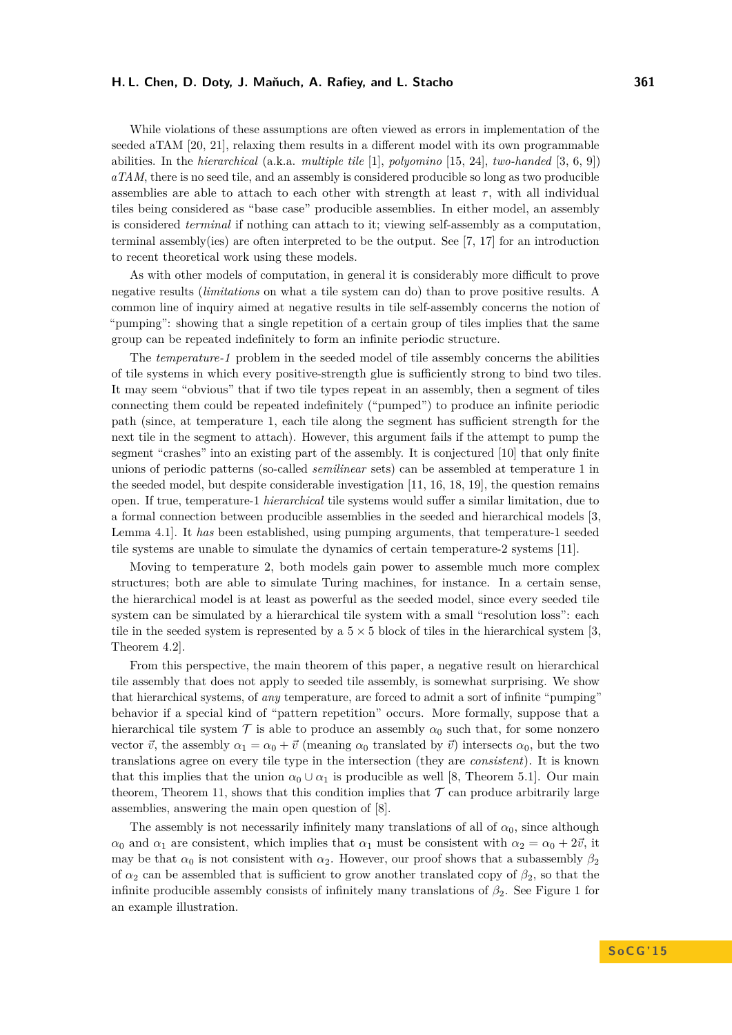#### **H. L. Chen, D. Doty, J. Maňuch, A. Rafiey, and L. Stacho 361**

While violations of these assumptions are often viewed as errors in implementation of the seeded aTAM [\[20,](#page-12-1) [21\]](#page-12-2), relaxing them results in a different model with its own programmable abilities. In the *hierarchical* (a.k.a. *multiple tile* [\[1\]](#page-11-1), *polyomino* [\[15,](#page-12-3) [24\]](#page-13-2), *two-handed* [\[3,](#page-11-2) [6,](#page-12-4) [9\]](#page-12-5)) *aTAM*, there is no seed tile, and an assembly is considered producible so long as two producible assemblies are able to attach to each other with strength at least  $\tau$ , with all individual tiles being considered as "base case" producible assemblies. In either model, an assembly is considered *terminal* if nothing can attach to it; viewing self-assembly as a computation, terminal assembly(ies) are often interpreted to be the output. See [\[7,](#page-12-6) [17\]](#page-12-7) for an introduction to recent theoretical work using these models.

As with other models of computation, in general it is considerably more difficult to prove negative results (*limitations* on what a tile system can do) than to prove positive results. A common line of inquiry aimed at negative results in tile self-assembly concerns the notion of "pumping": showing that a single repetition of a certain group of tiles implies that the same group can be repeated indefinitely to form an infinite periodic structure.

The *temperature-1* problem in the seeded model of tile assembly concerns the abilities of tile systems in which every positive-strength glue is sufficiently strong to bind two tiles. It may seem "obvious" that if two tile types repeat in an assembly, then a segment of tiles connecting them could be repeated indefinitely ("pumped") to produce an infinite periodic path (since, at temperature 1, each tile along the segment has sufficient strength for the next tile in the segment to attach). However, this argument fails if the attempt to pump the segment "crashes" into an existing part of the assembly. It is conjectured [\[10\]](#page-12-8) that only finite unions of periodic patterns (so-called *semilinear* sets) can be assembled at temperature 1 in the seeded model, but despite considerable investigation  $[11, 16, 18, 19]$  $[11, 16, 18, 19]$  $[11, 16, 18, 19]$  $[11, 16, 18, 19]$  $[11, 16, 18, 19]$  $[11, 16, 18, 19]$  $[11, 16, 18, 19]$ , the question remains open. If true, temperature-1 *hierarchical* tile systems would suffer a similar limitation, due to a formal connection between producible assemblies in the seeded and hierarchical models [\[3,](#page-11-2) Lemma 4.1]. It *has* been established, using pumping arguments, that temperature-1 seeded tile systems are unable to simulate the dynamics of certain temperature-2 systems [\[11\]](#page-12-9).

Moving to temperature 2, both models gain power to assemble much more complex structures; both are able to simulate Turing machines, for instance. In a certain sense, the hierarchical model is at least as powerful as the seeded model, since every seeded tile system can be simulated by a hierarchical tile system with a small "resolution loss": each tile in the seeded system is represented by a  $5 \times 5$  block of tiles in the hierarchical system [\[3,](#page-11-2) Theorem 4.2].

From this perspective, the main theorem of this paper, a negative result on hierarchical tile assembly that does not apply to seeded tile assembly, is somewhat surprising. We show that hierarchical systems, of *any* temperature, are forced to admit a sort of infinite "pumping" behavior if a special kind of "pattern repetition" occurs. More formally, suppose that a hierarchical tile system T is able to produce an assembly  $\alpha_0$  such that, for some nonzero vector  $\vec{v}$ , the assembly  $\alpha_1 = \alpha_0 + \vec{v}$  (meaning  $\alpha_0$  translated by  $\vec{v}$ ) intersects  $\alpha_0$ , but the two translations agree on every tile type in the intersection (they are *consistent*). It is known that this implies that the union  $\alpha_0 \cup \alpha_1$  is producible as well [\[8,](#page-12-13) Theorem 5.1]. Our main theorem, Theorem [11,](#page-10-0) shows that this condition implies that  $\mathcal T$  can produce arbitrarily large assemblies, answering the main open question of [\[8\]](#page-12-13).

The assembly is not necessarily infinitely many translations of all of  $\alpha_0$ , since although *α*<sub>0</sub> and *α*<sub>1</sub> are consistent, which implies that *α*<sub>1</sub> must be consistent with  $\alpha_2 = \alpha_0 + 2\vec{v}$ , it may be that  $\alpha_0$  is not consistent with  $\alpha_2$ . However, our proof shows that a subassembly  $\beta_2$ of  $\alpha_2$  can be assembled that is sufficient to grow another translated copy of  $\beta_2$ , so that the infinite producible assembly consists of infinitely many translations of *β*2. See Figure [1](#page-2-0) for an example illustration.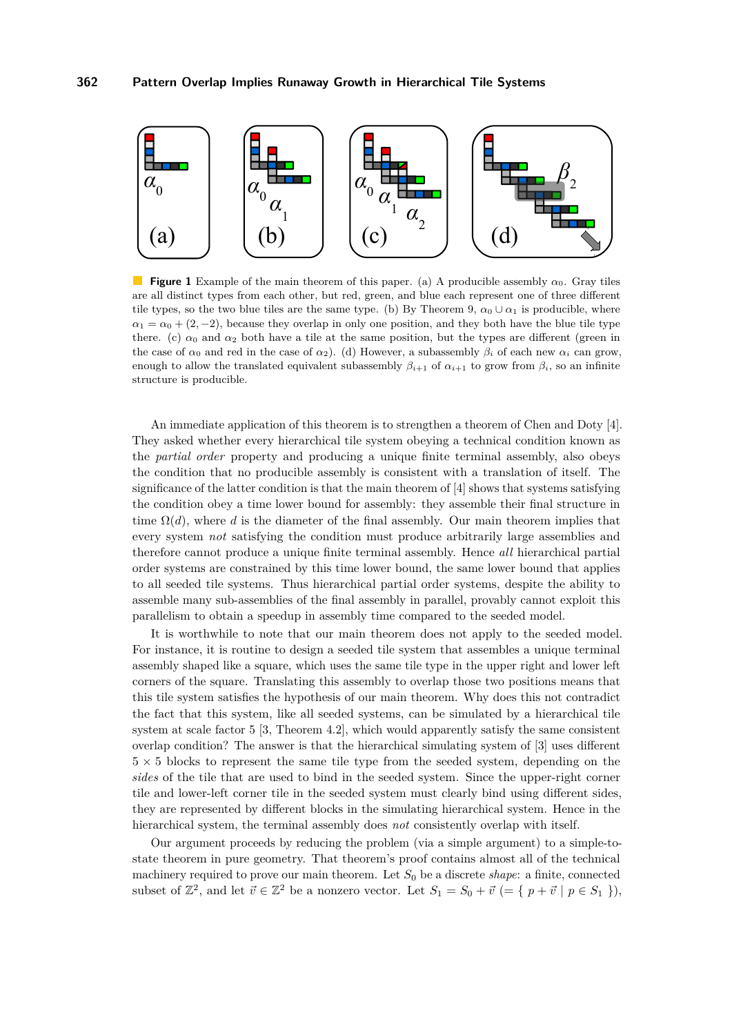<span id="page-2-0"></span>

**Figure 1** Example of the main theorem of this paper. (a) A producible assembly *α*0. Gray tiles are all distinct types from each other, but red, green, and blue each represent one of three different tile types, so the two blue tiles are the same type. (b) By Theorem [9,](#page-10-1)  $\alpha_0 \cup \alpha_1$  is producible, where  $\alpha_1 = \alpha_0 + (2, -2)$ , because they overlap in only one position, and they both have the blue tile type there. (c)  $\alpha_0$  and  $\alpha_2$  both have a tile at the same position, but the types are different (green in the case of  $\alpha_0$  and red in the case of  $\alpha_2$ ). (d) However, a subassembly  $\beta_i$  of each new  $\alpha_i$  can grow, enough to allow the translated equivalent subassembly  $\beta_{i+1}$  of  $\alpha_{i+1}$  to grow from  $\beta_i$ , so an infinite structure is producible.

An immediate application of this theorem is to strengthen a theorem of Chen and Doty [\[4\]](#page-11-3). They asked whether every hierarchical tile system obeying a technical condition known as the *partial order* property and producing a unique finite terminal assembly, also obeys the condition that no producible assembly is consistent with a translation of itself. The significance of the latter condition is that the main theorem of [\[4\]](#page-11-3) shows that systems satisfying the condition obey a time lower bound for assembly: they assemble their final structure in time  $\Omega(d)$ , where d is the diameter of the final assembly. Our main theorem implies that every system *not* satisfying the condition must produce arbitrarily large assemblies and therefore cannot produce a unique finite terminal assembly. Hence *all* hierarchical partial order systems are constrained by this time lower bound, the same lower bound that applies to all seeded tile systems. Thus hierarchical partial order systems, despite the ability to assemble many sub-assemblies of the final assembly in parallel, provably cannot exploit this parallelism to obtain a speedup in assembly time compared to the seeded model.

It is worthwhile to note that our main theorem does not apply to the seeded model. For instance, it is routine to design a seeded tile system that assembles a unique terminal assembly shaped like a square, which uses the same tile type in the upper right and lower left corners of the square. Translating this assembly to overlap those two positions means that this tile system satisfies the hypothesis of our main theorem. Why does this not contradict the fact that this system, like all seeded systems, can be simulated by a hierarchical tile system at scale factor 5 [\[3,](#page-11-2) Theorem 4.2], which would apparently satisfy the same consistent overlap condition? The answer is that the hierarchical simulating system of [\[3\]](#page-11-2) uses different  $5 \times 5$  blocks to represent the same tile type from the seeded system, depending on the *sides* of the tile that are used to bind in the seeded system. Since the upper-right corner tile and lower-left corner tile in the seeded system must clearly bind using different sides, they are represented by different blocks in the simulating hierarchical system. Hence in the hierarchical system, the terminal assembly does *not* consistently overlap with itself.

Our argument proceeds by reducing the problem (via a simple argument) to a simple-tostate theorem in pure geometry. That theorem's proof contains almost all of the technical machinery required to prove our main theorem. Let  $S_0$  be a discrete *shape*: a finite, connected subset of  $\mathbb{Z}^2$ , and let  $\vec{v} \in \mathbb{Z}^2$  be a nonzero vector. Let  $S_1 = S_0 + \vec{v} \in \{p + \vec{v} \mid p \in S_1 \}$ ,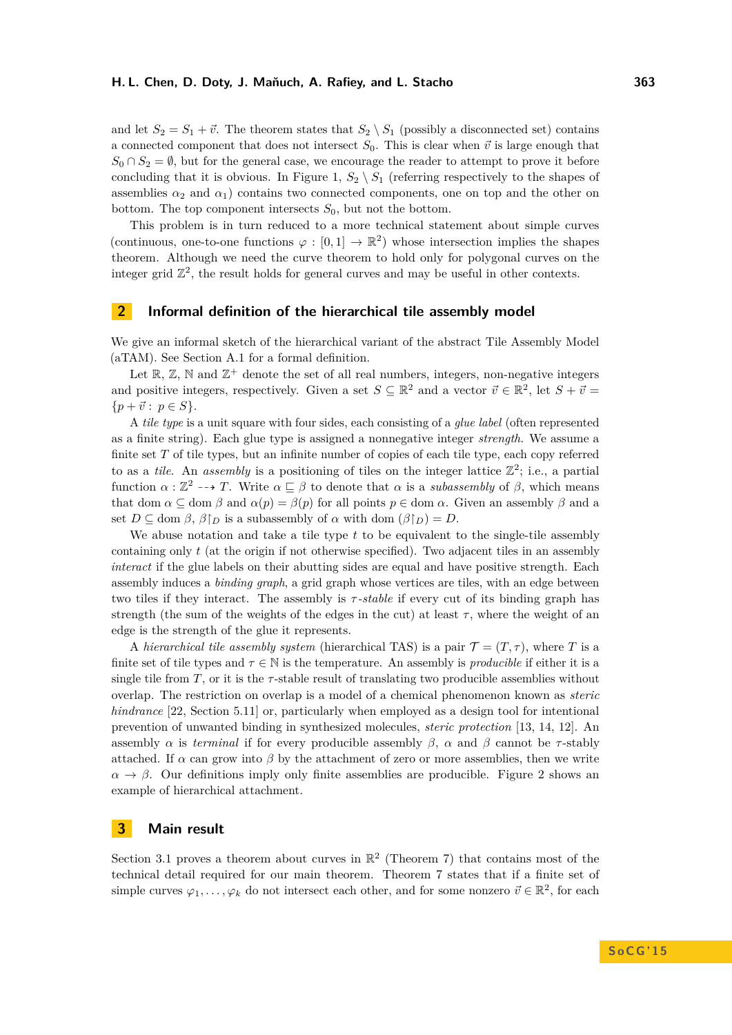and let  $S_2 = S_1 + \vec{v}$ . The theorem states that  $S_2 \setminus S_1$  (possibly a disconnected set) contains a connected component that does not intersect  $S_0$ . This is clear when  $\vec{v}$  is large enough that  $S_0 \cap S_2 = \emptyset$ , but for the general case, we encourage the reader to attempt to prove it before concluding that it is obvious. In Figure [1,](#page-2-0)  $S_2 \setminus S_1$  (referring respectively to the shapes of assemblies  $\alpha_2$  and  $\alpha_1$ ) contains two connected components, one on top and the other on bottom. The top component intersects  $S_0$ , but not the bottom.

This problem is in turn reduced to a more technical statement about simple curves (continuous, one-to-one functions  $\varphi : [0,1] \to \mathbb{R}^2$ ) whose intersection implies the shapes theorem. Although we need the curve theorem to hold only for polygonal curves on the integer grid  $\mathbb{Z}^2$ , the result holds for general curves and may be useful in other contexts.

## **2 Informal definition of the hierarchical tile assembly model**

We give an informal sketch of the hierarchical variant of the abstract Tile Assembly Model (aTAM). See Section [A.1](#page-13-3) for a formal definition.

Let  $\mathbb{R}, \mathbb{Z}, \mathbb{N}$  and  $\mathbb{Z}^+$  denote the set of all real numbers, integers, non-negative integers and positive integers, respectively. Given a set  $S \subseteq \mathbb{R}^2$  and a vector  $\vec{v} \in \mathbb{R}^2$ , let  $S + \vec{v} =$  ${p + \vec{v} : p \in S}.$ 

A *tile type* is a unit square with four sides, each consisting of a *glue label* (often represented as a finite string). Each glue type is assigned a nonnegative integer *strength*. We assume a finite set *T* of tile types, but an infinite number of copies of each tile type, each copy referred to as a *tile*. An *assembly* is a positioning of tiles on the integer lattice  $\mathbb{Z}^2$ ; i.e., a partial function  $\alpha : \mathbb{Z}^2 \dashrightarrow T$ . Write  $\alpha \sqsubseteq \beta$  to denote that  $\alpha$  is a *subassembly* of  $\beta$ , which means that dom  $\alpha \subseteq$  dom  $\beta$  and  $\alpha(p) = \beta(p)$  for all points  $p \in$  dom  $\alpha$ . Given an assembly  $\beta$  and a set  $D \subseteq \text{dom } \beta$ ,  $\beta \upharpoonright_D$  is a subassembly of  $\alpha$  with dom  $(\beta \upharpoonright_D) = D$ .

We abuse notation and take a tile type *t* to be equivalent to the single-tile assembly containing only *t* (at the origin if not otherwise specified). Two adjacent tiles in an assembly *interact* if the glue labels on their abutting sides are equal and have positive strength. Each assembly induces a *binding graph*, a grid graph whose vertices are tiles, with an edge between two tiles if they interact. The assembly is *τ -stable* if every cut of its binding graph has strength (the sum of the weights of the edges in the cut) at least  $\tau$ , where the weight of an edge is the strength of the glue it represents.

A *hierarchical tile assembly system* (hierarchical TAS) is a pair  $\mathcal{T} = (T, \tau)$ , where T is a finite set of tile types and  $\tau \in \mathbb{N}$  is the temperature. An assembly is *producible* if either it is a single tile from  $T$ , or it is the  $\tau$ -stable result of translating two producible assemblies without overlap. The restriction on overlap is a model of a chemical phenomenon known as *steric hindrance* [\[22,](#page-12-14) Section 5.11] or, particularly when employed as a design tool for intentional prevention of unwanted binding in synthesized molecules, *steric protection* [\[13,](#page-12-15) [14,](#page-12-16) [12\]](#page-12-17). An assembly  $\alpha$  is *terminal* if for every producible assembly  $\beta$ ,  $\alpha$  and  $\beta$  cannot be *τ*-stably attached. If  $\alpha$  can grow into  $\beta$  by the attachment of zero or more assemblies, then we write  $\alpha \to \beta$ . Our definitions imply only finite assemblies are producible. Figure [2](#page-4-0) shows an example of hierarchical attachment.

## **3 Main result**

Section [3.1](#page-4-1) proves a theorem about curves in  $\mathbb{R}^2$  (Theorem [7\)](#page-6-0) that contains most of the technical detail required for our main theorem. Theorem [7](#page-6-0) states that if a finite set of simple curves  $\varphi_1, \ldots, \varphi_k$  do not intersect each other, and for some nonzero  $\vec{v} \in \mathbb{R}^2$ , for each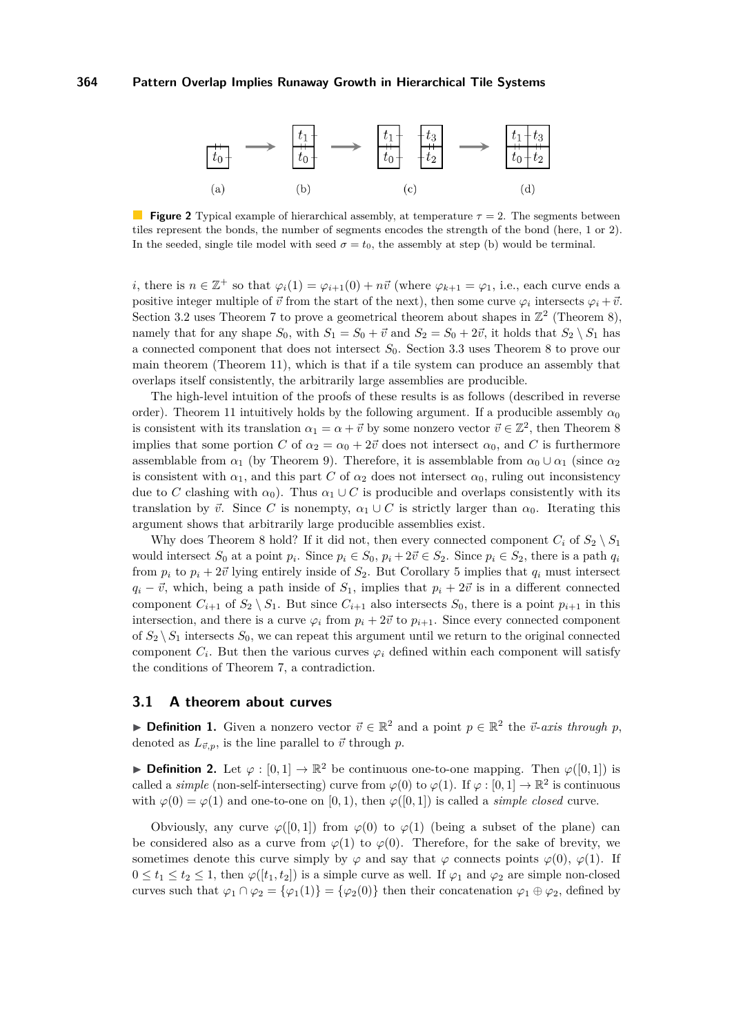<span id="page-4-0"></span>

**Figure 2** Typical example of hierarchical assembly, at temperature *τ* = 2. The segments between tiles represent the bonds, the number of segments encodes the strength of the bond (here, 1 or 2). In the seeded, single tile model with seed  $\sigma = t_0$ , the assembly at step (b) would be terminal.

*i*, there is  $n \in \mathbb{Z}^+$  so that  $\varphi_i(1) = \varphi_{i+1}(0) + n\vec{v}$  (where  $\varphi_{k+1} = \varphi_1$ , i.e., each curve ends a positive integer multiple of  $\vec{v}$  from the start of the next), then some curve  $\varphi_i$  intersects  $\varphi_i + \vec{v}$ . Section [3.2](#page-8-0) uses Theorem [7](#page-6-0) to prove a geometrical theorem about shapes in  $\mathbb{Z}^2$  (Theorem [8\)](#page-8-1), namely that for any shape  $S_0$ , with  $S_1 = S_0 + \vec{v}$  and  $S_2 = S_0 + 2\vec{v}$ , it holds that  $S_2 \setminus S_1$  has a connected component that does not intersect *S*0. Section [3.3](#page-10-2) uses Theorem [8](#page-8-1) to prove our main theorem (Theorem [11\)](#page-10-0), which is that if a tile system can produce an assembly that overlaps itself consistently, the arbitrarily large assemblies are producible.

The high-level intuition of the proofs of these results is as follows (described in reverse order). Theorem [11](#page-10-0) intuitively holds by the following argument. If a producible assembly  $\alpha_0$ is consistent with its translation  $\alpha_1 = \alpha + \vec{v}$  by some nonzero vector  $\vec{v} \in \mathbb{Z}^2$ , then Theorem [8](#page-8-1) implies that some portion *C* of  $\alpha_2 = \alpha_0 + 2\vec{v}$  does not intersect  $\alpha_0$ , and *C* is furthermore assemblable from  $\alpha_1$  (by Theorem [9\)](#page-10-1). Therefore, it is assemblable from  $\alpha_0 \cup \alpha_1$  (since  $\alpha_2$ ) is consistent with  $\alpha_1$ , and this part *C* of  $\alpha_2$  does not intersect  $\alpha_0$ , ruling out inconsistency due to *C* clashing with  $\alpha_0$ ). Thus  $\alpha_1 \cup C$  is producible and overlaps consistently with its translation by  $\vec{v}$ . Since *C* is nonempty,  $\alpha_1 \cup C$  is strictly larger than  $\alpha_0$ . Iterating this argument shows that arbitrarily large producible assemblies exist.

Why does Theorem [8](#page-8-1) hold? If it did not, then every connected component  $C_i$  of  $S_2 \setminus S_1$ would intersect  $S_0$  at a point  $p_i$ . Since  $p_i \in S_0$ ,  $p_i + 2\vec{v} \in S_2$ . Since  $p_i \in S_2$ , there is a path  $q_i$ from  $p_i$  to  $p_i + 2\vec{v}$  lying entirely inside of  $S_2$ . But Corollary [5](#page-5-0) implies that  $q_i$  must intersect  $q_i - \vec{v}$ , which, being a path inside of  $S_1$ , implies that  $p_i + 2\vec{v}$  is in a different connected component  $C_{i+1}$  of  $S_2 \setminus S_1$ . But since  $C_{i+1}$  also intersects  $S_0$ , there is a point  $p_{i+1}$  in this intersection, and there is a curve  $\varphi_i$  from  $p_i + 2\vec{v}$  to  $p_{i+1}$ . Since every connected component of  $S_2 \setminus S_1$  intersects  $S_0$ , we can repeat this argument until we return to the original connected component  $C_i$ . But then the various curves  $\varphi_i$  defined within each component will satisfy the conditions of Theorem [7,](#page-6-0) a contradiction.

#### <span id="page-4-1"></span>**3.1 A theorem about curves**

**► Definition 1.** Given a nonzero vector  $\vec{v} \in \mathbb{R}^2$  and a point  $p \in \mathbb{R}^2$  the  $\vec{v}$ -*axis through*  $p$ , denoted as  $L_{\vec{v},p}$ , is the line parallel to  $\vec{v}$  through *p*.

**► Definition 2.** Let  $\varphi : [0,1] \to \mathbb{R}^2$  be continuous one-to-one mapping. Then  $\varphi([0,1])$  is called a *simple* (non-self-intersecting) curve from  $\varphi(0)$  to  $\varphi(1)$ . If  $\varphi : [0,1] \to \mathbb{R}^2$  is continuous with  $\varphi(0) = \varphi(1)$  and one-to-one on [0, 1], then  $\varphi([0,1])$  is called a *simple closed* curve.

Obviously, any curve  $\varphi([0,1])$  from  $\varphi(0)$  to  $\varphi(1)$  (being a subset of the plane) can be considered also as a curve from  $\varphi(1)$  to  $\varphi(0)$ . Therefore, for the sake of brevity, we sometimes denote this curve simply by  $\varphi$  and say that  $\varphi$  connects points  $\varphi(0), \varphi(1)$ . If  $0 \le t_1 \le t_2 \le 1$ , then  $\varphi([t_1, t_2])$  is a simple curve as well. If  $\varphi_1$  and  $\varphi_2$  are simple non-closed curves such that  $\varphi_1 \cap \varphi_2 = {\varphi_1(1)} = {\varphi_2(0)}$  then their concatenation  $\varphi_1 \oplus \varphi_2$ , defined by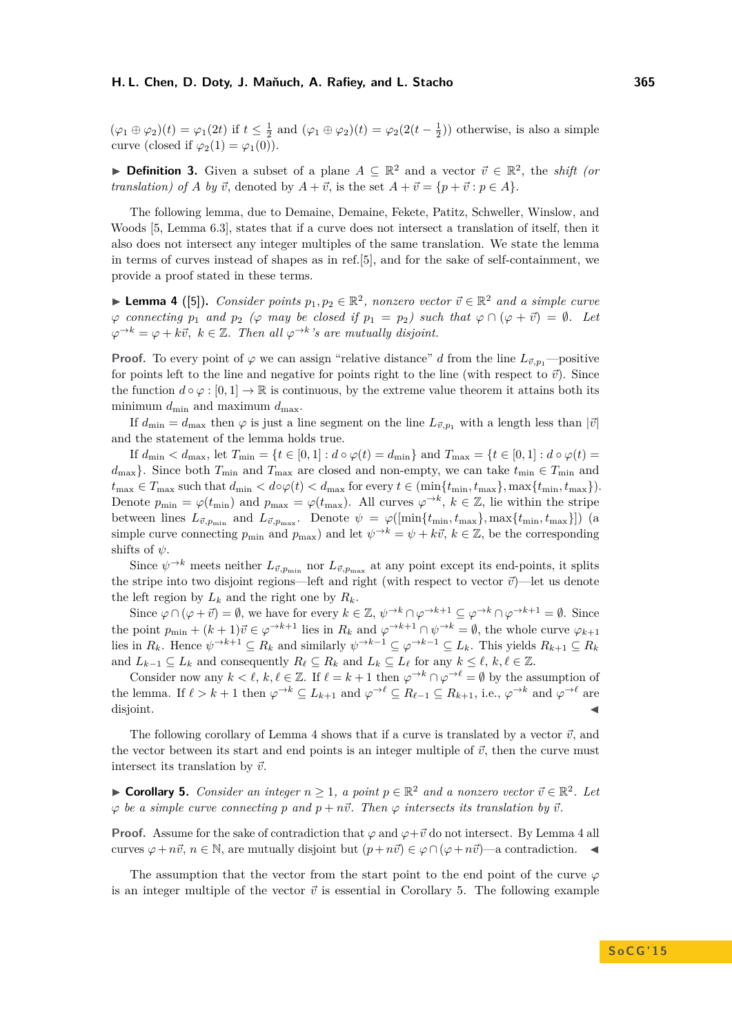$(\varphi_1 \oplus \varphi_2)(t) = \varphi_1(2t)$  if  $t \leq \frac{1}{2}$  and  $(\varphi_1 \oplus \varphi_2)(t) = \varphi_2(2(t - \frac{1}{2}))$  otherwise, is also a simple curve (closed if  $\varphi_2(1) = \varphi_1(0)$ ).

**► Definition 3.** Given a subset of a plane  $A \subseteq \mathbb{R}^2$  and a vector  $\vec{v} \in \mathbb{R}^2$ , the *shift (or translation) of A by*  $\vec{v}$ , denoted by  $A + \vec{v}$ , is the set  $A + \vec{v} = \{p + \vec{v} : p \in A\}$ .

The following lemma, due to Demaine, Demaine, Fekete, Patitz, Schweller, Winslow, and Woods [\[5,](#page-11-4) Lemma 6.3], states that if a curve does not intersect a translation of itself, then it also does not intersect any integer multiples of the same translation. We state the lemma in terms of curves instead of shapes as in ref.[\[5\]](#page-11-4), and for the sake of self-containment, we provide a proof stated in these terms.

<span id="page-5-1"></span>**Lemma 4** ([\[5\]](#page-11-4)). *Consider points*  $p_1, p_2 \in \mathbb{R}^2$ , nonzero vector  $\vec{v} \in \mathbb{R}^2$  and a simple curve  $\varphi$  *connecting*  $p_1$  *and*  $p_2$  ( $\varphi$  *may be closed if*  $p_1 = p_2$ ) *such that*  $\varphi \cap (\varphi + \vec{v}) = \emptyset$ *. Let*  $\varphi^{\rightarrow k} = \varphi + k\vec{v}, \ k \in \mathbb{Z}$ . Then all  $\varphi^{\rightarrow k}$ 's are mutually disjoint.

**Proof.** To every point of  $\varphi$  we can assign "relative distance" *d* from the line  $L_{\vec{v},p_1}$ —positive for points left to the line and negative for points right to the line (with respect to  $\vec{v}$ ). Since the function  $d \circ \varphi : [0,1] \to \mathbb{R}$  is continuous, by the extreme value theorem it attains both its minimum  $d_{\min}$  and maximum  $d_{\max}$ .

If  $d_{\min} = d_{\max}$  then  $\varphi$  is just a line segment on the line  $L_{\vec{v},p_1}$  with a length less than  $|\vec{v}|$ and the statement of the lemma holds true.

If  $d_{\min} < d_{\max}$ , let  $T_{\min} = \{ t \in [0, 1] : d \circ \varphi(t) = d_{\min} \}$  and  $T_{\max} = \{ t \in [0, 1] : d \circ \varphi(t) = d_{\min} \}$  $d_{\text{max}}$ . Since both  $T_{\text{min}}$  and  $T_{\text{max}}$  are closed and non-empty, we can take  $t_{\text{min}} \in T_{\text{min}}$  and  $t_{\max} \in T_{\max}$  such that  $d_{\min} < d \circ \varphi(t) < d_{\max}$  for every  $t \in (\min\{t_{\min}, t_{\max}\}, \max\{t_{\min}, t_{\max}\}).$ Denote  $p_{\min} = \varphi(t_{\min})$  and  $p_{\max} = \varphi(t_{\max})$ . All curves  $\varphi^{\to k}$ ,  $k \in \mathbb{Z}$ , lie within the stripe between lines  $L_{\vec{v},p_{\min}}$  and  $L_{\vec{v},p_{\max}}$ . Denote  $\psi = \varphi([\min\{t_{\min}, t_{\max}\}, \max\{t_{\min}, t_{\max}\}])$  (a simple curve connecting  $p_{\min}$  and  $p_{\max}$ ) and let  $\psi \to k \psi, k \in \mathbb{Z}$ , be the corresponding shifts of *ψ*.

Since  $\psi \to^k$  meets neither  $L_{\vec{v},p_{\text{min}}}$  nor  $L_{\vec{v},p_{\text{max}}}$  at any point except its end-points, it splits the stripe into two disjoint regions—left and right (with respect to vector  $\vec{v}$ )—let us denote the left region by  $L_k$  and the right one by  $R_k$ .

Since  $\varphi \cap (\varphi + \vec{v}) = \emptyset$ , we have for every  $k \in \mathbb{Z}$ ,  $\psi \to k \cap \varphi \to k+1 \subseteq \varphi \to k \cap \varphi \to k+1 = \emptyset$ . Since the point  $p_{\min} + (k+1)\vec{v} \in \varphi^{-k+1}$  lies in  $R_k$  and  $\varphi^{-k+1} \cap \psi^{-k} = \emptyset$ , the whole curve  $\varphi_{k+1}$ lies in  $R_k$ . Hence  $\psi \to k+1} \subseteq R_k$  and similarly  $\psi \to k-1} \subseteq \varphi \to k-1} \subseteq L_k$ . This yields  $R_{k+1} \subseteq R_k$ and  $L_{k-1} \subseteq L_k$  and consequently  $R_\ell \subseteq R_k$  and  $L_k \subseteq L_\ell$  for any  $k \leq \ell, k, \ell \in \mathbb{Z}$ .

Consider now any  $k < \ell, k, \ell \in \mathbb{Z}$ . If  $\ell = k + 1$  then  $\varphi^{\to k} \cap \varphi^{\to \ell} = \emptyset$  by the assumption of the lemma. If  $\ell > k + 1$  then  $\varphi^{\to k} \subset L_{k+1}$  and  $\varphi^{\to \ell} \subset R_{\ell-1} \subset R_{k+1}$ , i.e.,  $\varphi^{\to k}$  and  $\varphi^{\to \ell}$  are disjoint.

The following corollary of Lemma [4](#page-5-1) shows that if a curve is translated by a vector  $\vec{v}$ , and the vector between its start and end points is an integer multiple of  $\vec{v}$ , then the curve must intersect its translation by  $\vec{v}$ .

<span id="page-5-0"></span>▶ **Corollary 5.** *Consider an integer*  $n \ge 1$ , a point  $p \in \mathbb{R}^2$  and a nonzero vector  $\vec{v} \in \mathbb{R}^2$ . Let  $\varphi$  *be a simple curve connecting p and*  $p + n\vec{v}$ *. Then*  $\varphi$  *intersects its translation by*  $\vec{v}$ *.* 

**Proof.** Assume for the sake of contradiction that  $\varphi$  and  $\varphi + \vec{v}$  do not intersect. By Lemma [4](#page-5-1) all curves  $\varphi + n\vec{v}$ ,  $n \in \mathbb{N}$ , are mutually disjoint but  $(p + n\vec{v}) \in \varphi \cap (\varphi + n\vec{v})$ —a contradiction.

The assumption that the vector from the start point to the end point of the curve  $\varphi$ is an integer multiple of the vector  $\vec{v}$  is essential in Corollary [5.](#page-5-0) The following example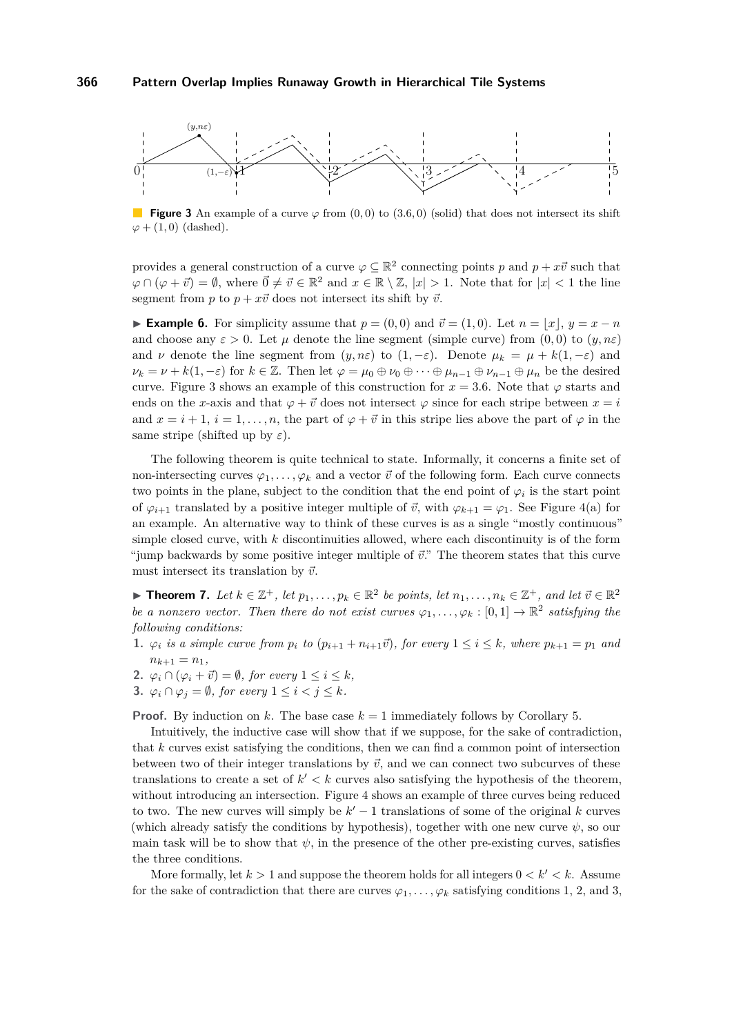#### **366 Pattern Overlap Implies Runaway Growth in Hierarchical Tile Systems**

<span id="page-6-1"></span>

**Figure 3** An example of a curve  $\varphi$  from (0,0) to (3.6,0) (solid) that does not intersect its shift  $\varphi$  + (1,0) (dashed).

provides a general construction of a curve  $\varphi \subseteq \mathbb{R}^2$  connecting points p and  $p + x\vec{v}$  such that  $\varphi \cap (\varphi + \vec{v}) = \emptyset$ , where  $\vec{0} \neq \vec{v} \in \mathbb{R}^2$  and  $x \in \mathbb{R} \setminus \mathbb{Z}$ ,  $|x| > 1$ . Note that for  $|x| < 1$  the line segment from *p* to  $p + x\vec{v}$  does not intersect its shift by  $\vec{v}$ .

► **Example 6.** For simplicity assume that  $p = (0,0)$  and  $\vec{v} = (1,0)$ . Let  $n = |x|, y = x - n$ and choose any  $\varepsilon > 0$ . Let  $\mu$  denote the line segment (simple curve) from  $(0,0)$  to  $(y,n\varepsilon)$ and *ν* denote the line segment from  $(y, n\varepsilon)$  to  $(1, -\varepsilon)$ . Denote  $\mu_k = \mu + k(1, -\varepsilon)$  and  $\nu_k = \nu + k(1, -\varepsilon)$  for  $k \in \mathbb{Z}$ . Then let  $\varphi = \mu_0 \oplus \nu_0 \oplus \cdots \oplus \mu_{n-1} \oplus \nu_{n-1} \oplus \mu_n$  be the desired curve. Figure [3](#page-6-1) shows an example of this construction for  $x = 3.6$ . Note that  $\varphi$  starts and ends on the *x*-axis and that  $\varphi + \vec{v}$  does not intersect  $\varphi$  since for each stripe between  $x = i$ and  $x = i + 1$ ,  $i = 1, \ldots, n$ , the part of  $\varphi + \vec{v}$  in this stripe lies above the part of  $\varphi$  in the same stripe (shifted up by *ε*).

The following theorem is quite technical to state. Informally, it concerns a finite set of non-intersecting curves  $\varphi_1, \ldots, \varphi_k$  and a vector  $\vec{v}$  of the following form. Each curve connects two points in the plane, subject to the condition that the end point of  $\varphi_i$  is the start point of  $\varphi_{i+1}$  translated by a positive integer multiple of  $\vec{v}$ , with  $\varphi_{k+1} = \varphi_1$ . See Figure [4\(](#page-7-0)a) for an example. An alternative way to think of these curves is as a single "mostly continuous" simple closed curve, with *k* discontinuities allowed, where each discontinuity is of the form "jump backwards by some positive integer multiple of  $\vec{v}$ ." The theorem states that this curve must intersect its translation by  $\vec{v}$ .

<span id="page-6-0"></span>▶ **Theorem 7.** Let  $k \in \mathbb{Z}^+$ , let  $p_1, \ldots, p_k \in \mathbb{R}^2$  be points, let  $n_1, \ldots, n_k \in \mathbb{Z}^+$ , and let  $\vec{v} \in \mathbb{R}^2$ *be a nonzero vector. Then there do not exist curves*  $\varphi_1, \ldots, \varphi_k : [0,1] \to \mathbb{R}^2$  satisfying the *following conditions:*

- <span id="page-6-2"></span>1.  $\varphi_i$  is a simple curve from  $p_i$  to  $(p_{i+1} + n_{i+1}\vec{v})$ , for every  $1 \leq i \leq k$ , where  $p_{k+1} = p_1$  and  $n_{k+1} = n_1$ ,
- <span id="page-6-3"></span>**2.**  $\varphi_i \cap (\varphi_i + \vec{v}) = \emptyset$ , for every  $1 \leq i \leq k$ ,
- <span id="page-6-4"></span>**3.**  $\varphi_i \cap \varphi_j = \emptyset$ , for every  $1 \leq i < j \leq k$ .

**Proof.** By induction on *k*. The base case  $k = 1$  immediately follows by Corollary [5.](#page-5-0)

Intuitively, the inductive case will show that if we suppose, for the sake of contradiction, that *k* curves exist satisfying the conditions, then we can find a common point of intersection between two of their integer translations by  $\vec{v}$ , and we can connect two subcurves of these translations to create a set of  $k' < k$  curves also satisfying the hypothesis of the theorem, without introducing an intersection. Figure [4](#page-7-0) shows an example of three curves being reduced to two. The new curves will simply be  $k' - 1$  translations of some of the original  $k$  curves (which already satisfy the conditions by hypothesis), together with one new curve  $\psi$ , so our main task will be to show that  $\psi$ , in the presence of the other pre-existing curves, satisfies the three conditions.

More formally, let  $k > 1$  and suppose the theorem holds for all integers  $0 < k' < k$ . Assume for the sake of contradiction that there are curves  $\varphi_1, \ldots, \varphi_k$  satisfying conditions [1,](#page-6-2) [2,](#page-6-3) and [3,](#page-6-4)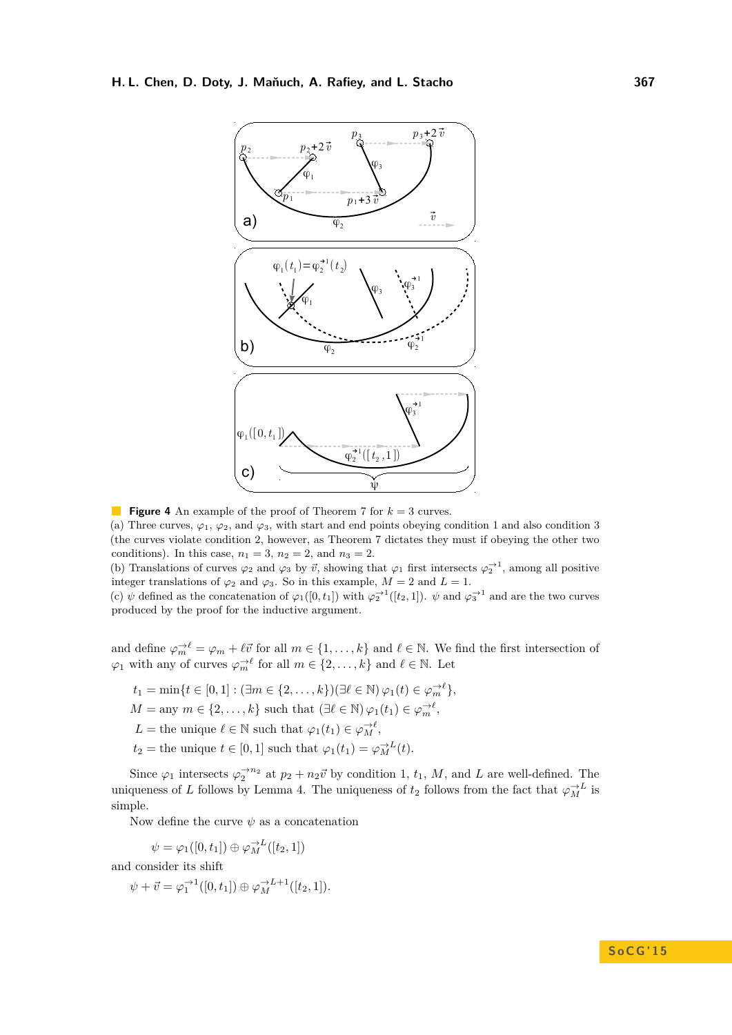<span id="page-7-0"></span>

**Figure 4** An example of the proof of Theorem [7](#page-6-0) for *k* = 3 curves.

(a) Three curves,  $\varphi_1$ ,  $\varphi_2$ , and  $\varphi_3$ , with start and end points obeying condition [1](#page-6-2) and also condition [3](#page-6-4) (the curves violate condition [2,](#page-6-3) however, as Theorem [7](#page-6-0) dictates they must if obeying the other two conditions). In this case,  $n_1 = 3$ ,  $n_2 = 2$ , and  $n_3 = 2$ .

(b) Translations of curves  $\varphi_2$  and  $\varphi_3$  by  $\vec{v}$ , showing that  $\varphi_1$  first intersects  $\varphi_2^{-1}$ , among all positive integer translations of  $\varphi_2$  and  $\varphi_3$ . So in this example,  $M = 2$  and  $L = 1$ .

(c)  $\psi$  defined as the concatenation of  $\varphi_1([0, t_1])$  with  $\varphi_2^{-1}([t_2, 1])$ .  $\psi$  and  $\varphi_3^{-1}$  and are the two curves produced by the proof for the inductive argument.

and define  $\varphi_m^{-\ell} = \varphi_m + \ell \vec{v}$  for all  $m \in \{1, \ldots, k\}$  and  $\ell \in \mathbb{N}$ . We find the first intersection of  $\varphi_1$  with any of curves  $\varphi_m^{\to \ell}$  for all  $m \in \{2, ..., k\}$  and  $\ell \in \mathbb{N}$ . Let

 $t_1 = \min\{t \in [0, 1] : (\exists m \in \{2, ..., k\})(\exists \ell \in \mathbb{N}) \varphi_1(t) \in \varphi_m^{-\ell}\},\$  $M = \text{any } m \in \{2, \ldots, k\}$  such that  $(\exists \ell \in \mathbb{N}) \varphi_1(t_1) \in \varphi_m^{-\ell}$ , *L* = the unique  $\ell \in \mathbb{N}$  such that  $\varphi_1(t_1) \in \varphi_M^{-\ell}$ ,  $t_2$  = the unique  $t \in [0, 1]$  such that  $\varphi_1(t_1) = \varphi_M^{-L}(t)$ .

Since  $\varphi_1$  intersects  $\varphi_2^{\to n_2}$  at  $p_2 + n_2 \vec{v}$  by condition [1,](#page-6-2)  $t_1$ , *M*, and *L* are well-defined. The uniqueness of *L* follows by Lemma [4.](#page-5-1) The uniqueness of  $t_2$  follows from the fact that  $\varphi_M^{\rightarrow L}$  is simple.

Now define the curve  $\psi$  as a concatenation

$$
\psi = \varphi_1([0, t_1]) \oplus \varphi_M^{\rightarrow L}([t_2, 1])
$$

and consider its shift

$$
\psi + \vec{v} = \varphi_1^{-1}([0, t_1]) \oplus \varphi_M^{-L+1}([t_2, 1]).
$$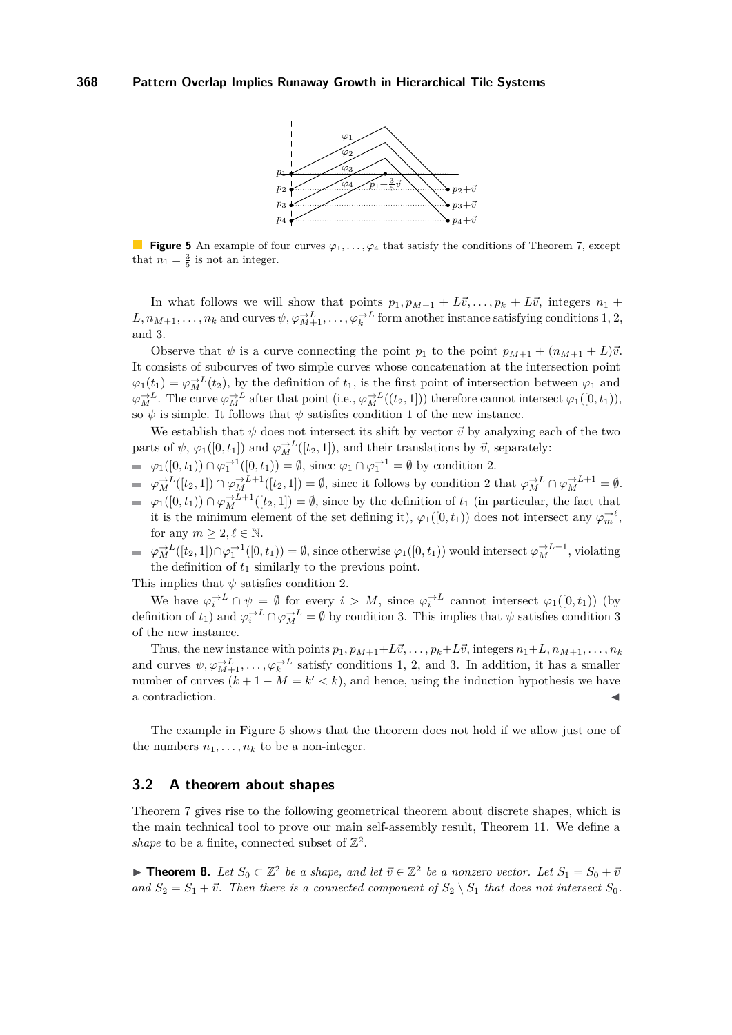

<span id="page-8-2"></span>**Figure 5** An example of four curves  $\varphi_1, \ldots, \varphi_4$  that satisfy the conditions of Theorem [7,](#page-6-0) except that  $n_1 = \frac{3}{5}$  is not an integer.

In what follows we will show that points  $p_1, p_{M+1} + L\vec{v}, \ldots, p_k + L\vec{v}$ , integers  $n_1 +$  $L, n_{M+1}, \ldots, n_k$  and curves  $\psi, \varphi_{M+1}^{\to L}, \ldots, \varphi_k^{\to L}$  form another instance satisfying conditions [1,](#page-6-2) [2,](#page-6-3) and [3.](#page-6-4)

Observe that  $\psi$  is a curve connecting the point  $p_1$  to the point  $p_{M+1} + (n_{M+1} + L)\vec{v}$ . It consists of subcurves of two simple curves whose concatenation at the intersection point  $\varphi_1(t_1) = \varphi_M^{-L}(t_2)$ , by the definition of  $t_1$ , is the first point of intersection between  $\varphi_1$  and  $\varphi_M^{\to L}$ . The curve  $\varphi_M^{\to L}$  after that point (i.e.,  $\varphi_M^{\to L}((t_2, 1])$ ) therefore cannot intersect  $\varphi_1([0, t_1))$ , so  $\psi$  is simple. It follows that  $\psi$  satisfies condition [1](#page-6-2) of the new instance.

We establish that  $\psi$  does not intersect its shift by vector  $\vec{v}$  by analyzing each of the two parts of  $\psi$ ,  $\varphi_1([0, t_1])$  and  $\varphi_M^{-\lambda}([t_2, 1])$ , and their translations by  $\vec{v}$ , separately:

- $\varphi_1([0, t_1)) \cap \varphi_1^{-1}([0, t_1)) = \emptyset$ , since  $\varphi_1 \cap \varphi_1^{-1} = \emptyset$  by condition [2.](#page-6-3)
- $\varphi_M^{\to L}([t_2, 1]) \cap \varphi_M^{\to L+1}([t_2, 1]) = \emptyset$ , since it follows by condition [2](#page-6-3) that  $\varphi_M^{\to L} \cap \varphi_M^{\to L+1} = \emptyset$ .  $\varphi_1([0,t_1)) \cap \varphi_M^{-L+1}([t_2,1]) = \emptyset$ , since by the definition of  $t_1$  (in particular, the fact that it is the minimum element of the set defining it),  $\varphi_1([0, t_1))$  does not intersect any  $\varphi_m^{-\lambda \ell}$ , for any  $m \geq 2, \ell \in \mathbb{N}$ .
- $\varphi_M^{\to L}([t_2, 1]) \cap \varphi_1^{\to 1}([0, t_1)) = \emptyset$ , since otherwise  $\varphi_1([0, t_1))$  would intersect  $\varphi_M^{\to L-1}$ , violating the definition of  $t_1$  similarly to the previous point.

This implies that  $\psi$  satisfies condition [2.](#page-6-3)

We have  $\varphi_i^{\to L} \cap \psi = \emptyset$  for every  $i > M$ , since  $\varphi_i^{\to L}$  cannot intersect  $\varphi_1([0, t_1))$  (by definition of  $t_1$ ) and  $\varphi_i^{-L} \cap \varphi_M^{-L} = \emptyset$  by condition [3.](#page-6-4) This implies that  $\psi$  satisfies condition [3](#page-6-4) of the new instance.

Thus, the new instance with points  $p_1, p_{M+1}+L\vec{v}, \ldots, p_k+L\vec{v}$ , integers  $n_1+L, n_{M+1}, \ldots, n_k$ and curves  $\psi, \varphi_{M+1}^{\to L}, \ldots, \varphi_k^{\to L}$  satisfy conditions [1,](#page-6-2) [2,](#page-6-3) and [3.](#page-6-4) In addition, it has a smaller number of curves  $(k + 1 - M = k' < k)$ , and hence, using the induction hypothesis we have a contradiction.

The example in Figure [5](#page-8-2) shows that the theorem does not hold if we allow just one of the numbers  $n_1, \ldots, n_k$  to be a non-integer.

## <span id="page-8-0"></span>**3.2 A theorem about shapes**

Theorem [7](#page-6-0) gives rise to the following geometrical theorem about discrete shapes, which is the main technical tool to prove our main self-assembly result, Theorem [11.](#page-10-0) We define a *shape* to be a finite, connected subset of  $\mathbb{Z}^2$ .

<span id="page-8-1"></span>▶ **Theorem 8.** Let  $S_0 \subset \mathbb{Z}^2$  be a shape, and let  $\vec{v} \in \mathbb{Z}^2$  be a nonzero vector. Let  $S_1 = S_0 + \vec{v}$ and  $S_2 = S_1 + \vec{v}$ . Then there is a connected component of  $S_2 \setminus S_1$  that does not intersect  $S_0$ .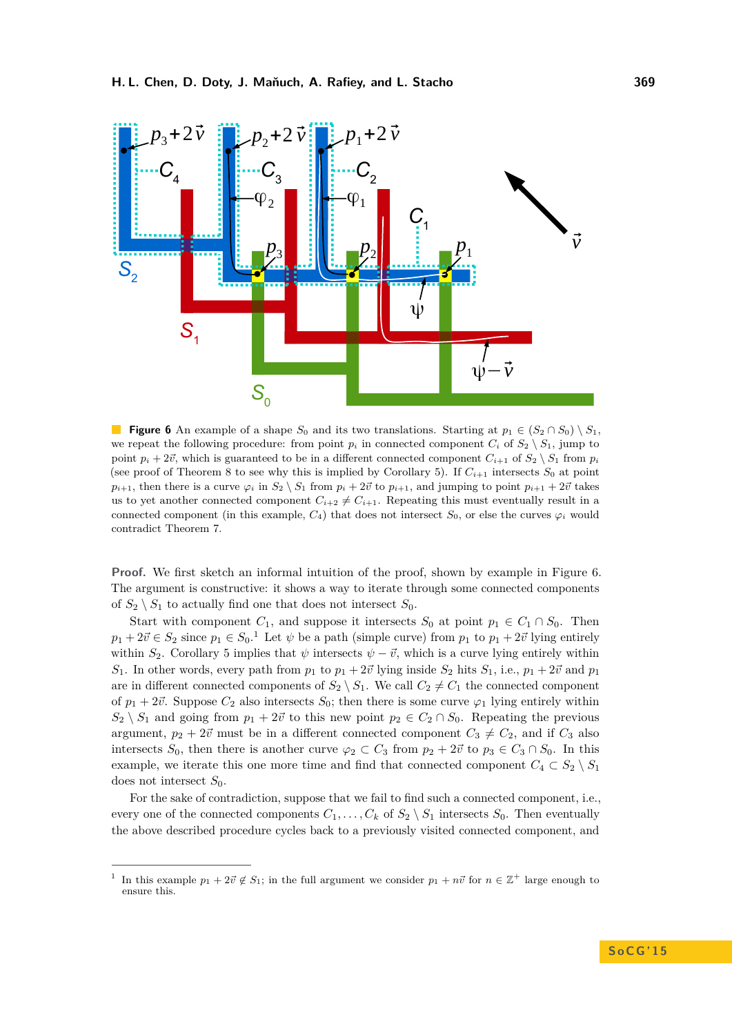<span id="page-9-0"></span>

**Figure 6** An example of a shape  $S_0$  and its two translations. Starting at  $p_1 \in (S_2 \cap S_0) \setminus S_1$ , we repeat the following procedure: from point  $p_i$  in connected component  $C_i$  of  $S_2 \setminus S_1$ , jump to point  $p_i + 2\vec{v}$ , which is guaranteed to be in a different connected component  $C_{i+1}$  of  $S_2 \setminus S_1$  from  $p_i$ (see proof of Theorem [8](#page-8-1) to see why this is implied by Corollary [5\)](#page-5-0). If  $C_{i+1}$  intersects  $S_0$  at point  $p_{i+1}$ , then there is a curve  $\varphi_i$  in  $S_2 \setminus S_1$  from  $p_i + 2\vec{v}$  to  $p_{i+1}$ , and jumping to point  $p_{i+1} + 2\vec{v}$  takes us to yet another connected component  $C_{i+2} \neq C_{i+1}$ . Repeating this must eventually result in a connected component (in this example,  $C_4$ ) that does not intersect  $S_0$ , or else the curves  $\varphi_i$  would contradict Theorem [7.](#page-6-0)

**Proof.** We first sketch an informal intuition of the proof, shown by example in Figure [6.](#page-9-0) The argument is constructive: it shows a way to iterate through some connected components of  $S_2 \setminus S_1$  to actually find one that does not intersect  $S_0$ .

Start with component  $C_1$ , and suppose it intersects  $S_0$  at point  $p_1 \in C_1 \cap S_0$ . Then  $p_1 + 2\vec{v} \in S_2$  $p_1 + 2\vec{v} \in S_2$  $p_1 + 2\vec{v} \in S_2$  since  $p_1 \in S_0$ .<sup>1</sup> Let  $\psi$  be a path (simple curve) from  $p_1$  to  $p_1 + 2\vec{v}$  lying entirely within  $S_2$ . Corollary [5](#page-5-0) implies that  $\psi$  intersects  $\psi - \vec{v}$ , which is a curve lying entirely within *S*<sub>1</sub>. In other words, every path from  $p_1$  to  $p_1 + 2\vec{v}$  lying inside  $S_2$  hits  $S_1$ , i.e.,  $p_1 + 2\vec{v}$  and  $p_1$ are in different connected components of  $S_2 \setminus S_1$ . We call  $C_2 \neq C_1$  the connected component of  $p_1 + 2\vec{v}$ . Suppose  $C_2$  also intersects  $S_0$ ; then there is some curve  $\varphi_1$  lying entirely within  $S_2 \setminus S_1$  and going from  $p_1 + 2\vec{v}$  to this new point  $p_2 \in C_2 \cap S_0$ . Repeating the previous argument,  $p_2 + 2\vec{v}$  must be in a different connected component  $C_3 \neq C_2$ , and if  $C_3$  also intersects  $S_0$ , then there is another curve  $\varphi_2 \subset C_3$  from  $p_2 + 2\vec{v}$  to  $p_3 \in C_3 \cap S_0$ . In this example, we iterate this one more time and find that connected component  $C_4 \subset S_2 \setminus S_1$ does not intersect *S*0.

For the sake of contradiction, suppose that we fail to find such a connected component, i.e., every one of the connected components  $C_1, \ldots, C_k$  of  $S_2 \setminus S_1$  intersects  $S_0$ . Then eventually the above described procedure cycles back to a previously visited connected component, and

<span id="page-9-1"></span><sup>1</sup> In this example  $p_1 + 2\vec{v} \notin S_1$ ; in the full argument we consider  $p_1 + n\vec{v}$  for  $n \in \mathbb{Z}^+$  large enough to ensure this.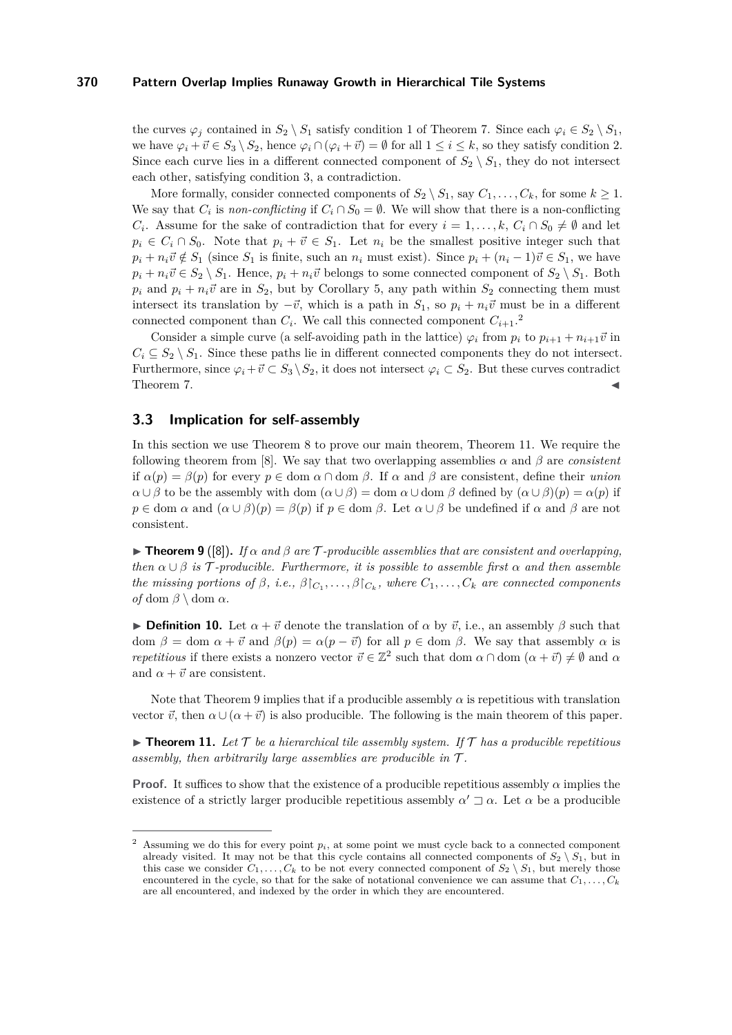### **370 Pattern Overlap Implies Runaway Growth in Hierarchical Tile Systems**

the curves  $\varphi_i$  contained in  $S_2 \setminus S_1$  satisfy condition [1](#page-6-2) of Theorem [7.](#page-6-0) Since each  $\varphi_i \in S_2 \setminus S_1$ , we have  $\varphi_i + \vec{v} \in S_3 \setminus S_2$ , hence  $\varphi_i \cap (\varphi_i + \vec{v}) = \emptyset$  for all  $1 \leq i \leq k$ , so they satisfy condition [2.](#page-6-3) Since each curve lies in a different connected component of  $S_2 \setminus S_1$ , they do not intersect each other, satisfying condition [3,](#page-6-4) a contradiction.

More formally, consider connected components of  $S_2 \setminus S_1$ , say  $C_1, \ldots, C_k$ , for some  $k \geq 1$ . We say that  $C_i$  is *non-conflicting* if  $C_i \cap S_0 = \emptyset$ . We will show that there is a non-conflicting *C*<sup>*i*</sup>. Assume for the sake of contradiction that for every  $i = 1, ..., k$ ,  $C_i \cap S_0 \neq \emptyset$  and let  $p_i \in C_i \cap S_0$ . Note that  $p_i + \vec{v} \in S_1$ . Let  $n_i$  be the smallest positive integer such that  $p_i + n_i \vec{v} \notin S_1$  (since  $S_1$  is finite, such an  $n_i$  must exist). Since  $p_i + (n_i - 1)\vec{v} \in S_1$ , we have  $p_i + n_i \vec{v} \in S_2 \setminus S_1$ . Hence,  $p_i + n_i \vec{v}$  belongs to some connected component of  $S_2 \setminus S_1$ . Both  $p_i$  and  $p_i + n_i \vec{v}$  are in  $S_2$ , but by Corollary [5,](#page-5-0) any path within  $S_2$  connecting them must intersect its translation by  $-\vec{v}$ , which is a path in *S*<sub>1</sub>, so  $p_i + n_i \vec{v}$  must be in a different connected component than  $C_i$ . We call this connected component  $C_{i+1}$ <sup>[2](#page-10-3)</sup>

Consider a simple curve (a self-avoiding path in the lattice)  $\varphi_i$  from  $p_i$  to  $p_{i+1} + n_{i+1} \vec{v}$  in  $C_i \subseteq S_2 \setminus S_1$ . Since these paths lie in different connected components they do not intersect. Furthermore, since  $\varphi_i + \vec{v} \subset S_3 \setminus S_2$ , it does not intersect  $\varphi_i \subset S_2$ . But these curves contradict Theorem [7.](#page-6-0)  $\blacksquare$ 

#### <span id="page-10-2"></span>**3.3 Implication for self-assembly**

In this section we use Theorem [8](#page-8-1) to prove our main theorem, Theorem [11.](#page-10-0) We require the following theorem from [\[8\]](#page-12-13). We say that two overlapping assemblies  $\alpha$  and  $\beta$  are *consistent* if  $\alpha(p) = \beta(p)$  for every  $p \in \text{dom } \alpha \cap \text{dom } \beta$ . If  $\alpha$  and  $\beta$  are consistent, define their *union α* ∪ *β* to be the assembly with dom  $(α ∪ β) =$  dom  $α ∪$  dom  $β$  defined by  $(α ∪ β)(p) = α(p)$  if  $p \in \text{dom } \alpha \text{ and } (\alpha \cup \beta)(p) = \beta(p) \text{ if } p \in \text{dom } \beta.$  Let  $\alpha \cup \beta$  be undefined if  $\alpha$  and  $\beta$  are not consistent.

<span id="page-10-1"></span>**Find 1 Property 9** ([\[8\]](#page-12-13)). *If*  $\alpha$  *and*  $\beta$  *are*  $\tau$ -producible assemblies that are consistent and overlapping, *then*  $\alpha \cup \beta$  *is* T-producible. Furthermore, it is possible to assemble first  $\alpha$  *and then assemble the missing portions of*  $\beta$ , *i.e.*,  $\beta|_{C_1}, \ldots, \beta|_{C_k}$ , where  $C_1, \ldots, C_k$  are connected components *of* dom  $\beta \setminus$  dom  $\alpha$ .

**Definition 10.** Let  $\alpha + \vec{v}$  denote the translation of  $\alpha$  by  $\vec{v}$ , i.e., an assembly  $\beta$  such that dom  $\beta =$  dom  $\alpha + \vec{v}$  and  $\beta(p) = \alpha(p - \vec{v})$  for all  $p \in$  dom  $\beta$ . We say that assembly  $\alpha$  is *repetitious* if there exists a nonzero vector  $\vec{v} \in \mathbb{Z}^2$  such that dom  $\alpha \cap \text{dom } (\alpha + \vec{v}) \neq \emptyset$  and  $\alpha$ and  $\alpha + \vec{v}$  are consistent.

Note that Theorem [9](#page-10-1) implies that if a producible assembly  $\alpha$  is repetitious with translation vector  $\vec{v}$ , then  $\alpha \cup (\alpha + \vec{v})$  is also producible. The following is the main theorem of this paper.

<span id="page-10-0"></span> $\triangleright$  **Theorem 11.** Let  $\mathcal T$  be a hierarchical tile assembly system. If  $\mathcal T$  has a producible repetitious *assembly, then arbitrarily large assemblies are producible in* T *.*

**Proof.** It suffices to show that the existence of a producible repetitious assembly *α* implies the existence of a strictly larger producible repetitious assembly  $\alpha' \sqsupset \alpha$ . Let  $\alpha$  be a producible

<span id="page-10-3"></span><sup>&</sup>lt;sup>2</sup> Assuming we do this for every point  $p_i$ , at some point we must cycle back to a connected component already visited. It may not be that this cycle contains all connected components of  $S_2 \setminus S_1$ , but in this case we consider  $C_1, \ldots, C_k$  to be not every connected component of  $S_2 \setminus S_1$ , but merely those encountered in the cycle, so that for the sake of notational convenience we can assume that  $C_1, \ldots, C_k$ are all encountered, and indexed by the order in which they are encountered.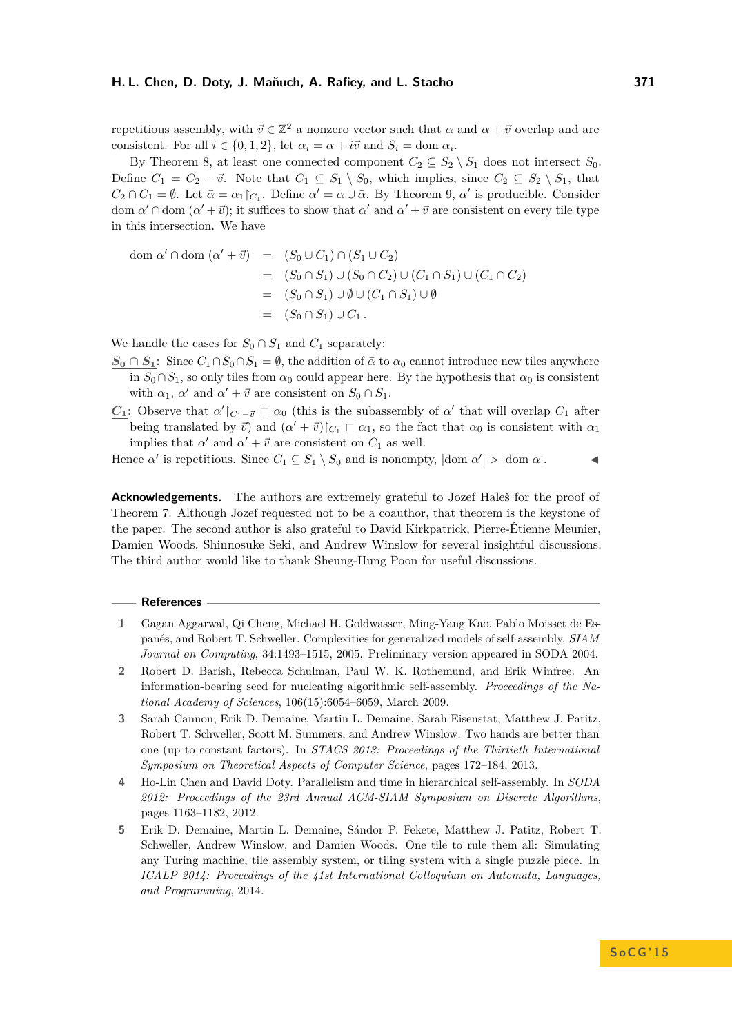repetitious assembly, with  $\vec{v} \in \mathbb{Z}^2$  a nonzero vector such that  $\alpha$  and  $\alpha + \vec{v}$  overlap and are consistent. For all  $i \in \{0, 1, 2\}$ , let  $\alpha_i = \alpha + i\vec{v}$  and  $S_i = \text{dom } \alpha_i$ .

By Theorem [8,](#page-8-1) at least one connected component  $C_2 \subseteq S_2 \setminus S_1$  does not intersect  $S_0$ . Define  $C_1 = C_2 - \vec{v}$ . Note that  $C_1 \subseteq S_1 \setminus S_0$ , which implies, since  $C_2 \subseteq S_2 \setminus S_1$ , that  $C_2 \cap C_1 = \emptyset$ . Let  $\bar{\alpha} = \alpha_1 \upharpoonright_{C_1}$ . Define  $\alpha' = \alpha \cup \bar{\alpha}$ . By Theorem [9,](#page-10-1)  $\alpha'$  is producible. Consider dom  $\alpha' \cap$  dom  $(\alpha' + \vec{v})$ ; it suffices to show that  $\alpha'$  and  $\alpha' + \vec{v}$  are consistent on every tile type in this intersection. We have

$$
dom \alpha' \cap dom (\alpha' + \vec{v}) = (S_0 \cup C_1) \cap (S_1 \cup C_2)
$$
  
=  $(S_0 \cap S_1) \cup (S_0 \cap C_2) \cup (C_1 \cap S_1) \cup (C_1 \cap C_2)$   
=  $(S_0 \cap S_1) \cup \emptyset \cup (C_1 \cap S_1) \cup \emptyset$   
=  $(S_0 \cap S_1) \cup C_1$ .

We handle the cases for  $S_0 \cap S_1$  and  $C_1$  separately:

- $S_0 \cap S_1$ : Since  $C_1 \cap S_0 \cap S_1 = \emptyset$ , the addition of  $\bar{\alpha}$  to  $\alpha_0$  cannot introduce new tiles anywhere in  $S_0 \cap S_1$ , so only tiles from  $\alpha_0$  could appear here. By the hypothesis that  $\alpha_0$  is consistent with  $\alpha_1$ ,  $\alpha'$  and  $\alpha' + \vec{v}$  are consistent on  $S_0 \cap S_1$ .
- *C*<sub>1</sub>: Observe that  $\alpha' \mid_{C_1 \vec{v}} \sqsubset \alpha_0$  (this is the subassembly of  $\alpha'$  that will overlap  $C_1$  after being translated by  $\vec{v}$ ) and  $(\alpha' + \vec{v})|_{C_1} \subset \alpha_1$ , so the fact that  $\alpha_0$  is consistent with  $\alpha_1$ implies that  $\alpha'$  and  $\alpha' + \vec{v}$  are consistent on  $C_1$  as well.

Hence  $\alpha'$  is repetitious. Since  $C_1 \subseteq S_1 \setminus S_0$  and is nonempty,  $|\text{dom }\alpha'| > |\text{dom }\alpha|$ .

**Acknowledgements.** The authors are extremely grateful to Jozef Haleš for the proof of Theorem [7.](#page-6-0) Although Jozef requested not to be a coauthor, that theorem is the keystone of the paper. The second author is also grateful to David Kirkpatrick, Pierre-Étienne Meunier, Damien Woods, Shinnosuke Seki, and Andrew Winslow for several insightful discussions. The third author would like to thank Sheung-Hung Poon for useful discussions.

#### **References**

- <span id="page-11-1"></span>**1** Gagan Aggarwal, Qi Cheng, Michael H. Goldwasser, Ming-Yang Kao, Pablo Moisset de Espanés, and Robert T. Schweller. Complexities for generalized models of self-assembly. *SIAM Journal on Computing*, 34:1493–1515, 2005. Preliminary version appeared in SODA 2004.
- <span id="page-11-0"></span>**2** Robert D. Barish, Rebecca Schulman, Paul W. K. Rothemund, and Erik Winfree. An information-bearing seed for nucleating algorithmic self-assembly. *Proceedings of the National Academy of Sciences*, 106(15):6054–6059, March 2009.
- <span id="page-11-2"></span>**3** Sarah Cannon, Erik D. Demaine, Martin L. Demaine, Sarah Eisenstat, Matthew J. Patitz, Robert T. Schweller, Scott M. Summers, and Andrew Winslow. Two hands are better than one (up to constant factors). In *STACS 2013: Proceedings of the Thirtieth International Symposium on Theoretical Aspects of Computer Science*, pages 172–184, 2013.
- <span id="page-11-3"></span>**4** Ho-Lin Chen and David Doty. Parallelism and time in hierarchical self-assembly. In *SODA 2012: Proceedings of the 23rd Annual ACM-SIAM Symposium on Discrete Algorithms*, pages 1163–1182, 2012.
- <span id="page-11-4"></span>**5** Erik D. Demaine, Martin L. Demaine, Sándor P. Fekete, Matthew J. Patitz, Robert T. Schweller, Andrew Winslow, and Damien Woods. One tile to rule them all: Simulating any Turing machine, tile assembly system, or tiling system with a single puzzle piece. In *ICALP 2014: Proceedings of the 41st International Colloquium on Automata, Languages, and Programming*, 2014.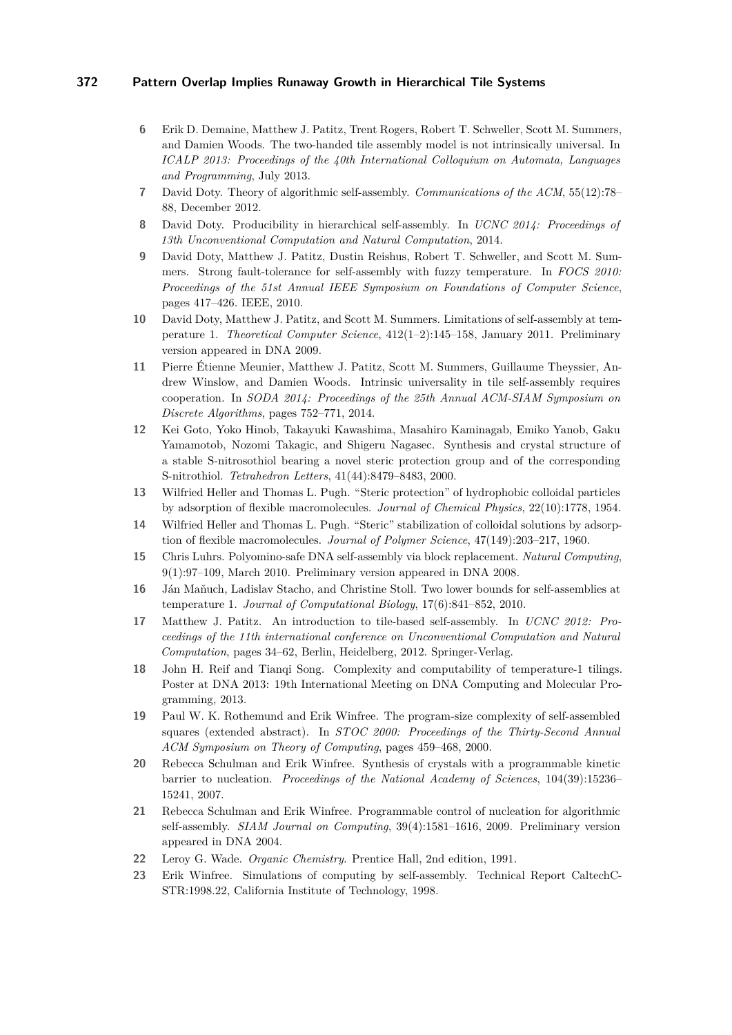## **372 Pattern Overlap Implies Runaway Growth in Hierarchical Tile Systems**

- <span id="page-12-4"></span>**6** Erik D. Demaine, Matthew J. Patitz, Trent Rogers, Robert T. Schweller, Scott M. Summers, and Damien Woods. The two-handed tile assembly model is not intrinsically universal. In *ICALP 2013: Proceedings of the 40th International Colloquium on Automata, Languages and Programming*, July 2013.
- <span id="page-12-6"></span>**7** David Doty. Theory of algorithmic self-assembly. *Communications of the ACM*, 55(12):78– 88, December 2012.
- <span id="page-12-13"></span>**8** David Doty. Producibility in hierarchical self-assembly. In *UCNC 2014: Proceedings of 13th Unconventional Computation and Natural Computation*, 2014.
- <span id="page-12-5"></span>**9** David Doty, Matthew J. Patitz, Dustin Reishus, Robert T. Schweller, and Scott M. Summers. Strong fault-tolerance for self-assembly with fuzzy temperature. In *FOCS 2010: Proceedings of the 51st Annual IEEE Symposium on Foundations of Computer Science*, pages 417–426. IEEE, 2010.
- <span id="page-12-8"></span>**10** David Doty, Matthew J. Patitz, and Scott M. Summers. Limitations of self-assembly at temperature 1. *Theoretical Computer Science*, 412(1–2):145–158, January 2011. Preliminary version appeared in DNA 2009.
- <span id="page-12-9"></span>**11** Pierre Étienne Meunier, Matthew J. Patitz, Scott M. Summers, Guillaume Theyssier, Andrew Winslow, and Damien Woods. Intrinsic universality in tile self-assembly requires cooperation. In *SODA 2014: Proceedings of the 25th Annual ACM-SIAM Symposium on Discrete Algorithms*, pages 752–771, 2014.
- <span id="page-12-17"></span>**12** Kei Goto, Yoko Hinob, Takayuki Kawashima, Masahiro Kaminagab, Emiko Yanob, Gaku Yamamotob, Nozomi Takagic, and Shigeru Nagasec. Synthesis and crystal structure of a stable S-nitrosothiol bearing a novel steric protection group and of the corresponding S-nitrothiol. *Tetrahedron Letters*, 41(44):8479–8483, 2000.
- <span id="page-12-15"></span>**13** Wilfried Heller and Thomas L. Pugh. "Steric protection" of hydrophobic colloidal particles by adsorption of flexible macromolecules. *Journal of Chemical Physics*, 22(10):1778, 1954.
- <span id="page-12-16"></span>**14** Wilfried Heller and Thomas L. Pugh. "Steric" stabilization of colloidal solutions by adsorption of flexible macromolecules. *Journal of Polymer Science*, 47(149):203–217, 1960.
- <span id="page-12-3"></span>**15** Chris Luhrs. Polyomino-safe DNA self-assembly via block replacement. *Natural Computing*, 9(1):97–109, March 2010. Preliminary version appeared in DNA 2008.
- <span id="page-12-10"></span>**16** Ján Maňuch, Ladislav Stacho, and Christine Stoll. Two lower bounds for self-assemblies at temperature 1. *Journal of Computational Biology*, 17(6):841–852, 2010.
- <span id="page-12-7"></span>**17** Matthew J. Patitz. An introduction to tile-based self-assembly. In *UCNC 2012: Proceedings of the 11th international conference on Unconventional Computation and Natural Computation*, pages 34–62, Berlin, Heidelberg, 2012. Springer-Verlag.
- <span id="page-12-11"></span>**18** John H. Reif and Tianqi Song. Complexity and computability of temperature-1 tilings. Poster at DNA 2013: 19th International Meeting on DNA Computing and Molecular Programming, 2013.
- <span id="page-12-12"></span>**19** Paul W. K. Rothemund and Erik Winfree. The program-size complexity of self-assembled squares (extended abstract). In *STOC 2000: Proceedings of the Thirty-Second Annual ACM Symposium on Theory of Computing*, pages 459–468, 2000.
- <span id="page-12-1"></span>**20** Rebecca Schulman and Erik Winfree. Synthesis of crystals with a programmable kinetic barrier to nucleation. *Proceedings of the National Academy of Sciences*, 104(39):15236– 15241, 2007.
- <span id="page-12-2"></span>**21** Rebecca Schulman and Erik Winfree. Programmable control of nucleation for algorithmic self-assembly. *SIAM Journal on Computing*, 39(4):1581–1616, 2009. Preliminary version appeared in DNA 2004.
- <span id="page-12-14"></span>**22** Leroy G. Wade. *Organic Chemistry*. Prentice Hall, 2nd edition, 1991.
- <span id="page-12-0"></span>**23** Erik Winfree. Simulations of computing by self-assembly. Technical Report CaltechC-STR:1998.22, California Institute of Technology, 1998.